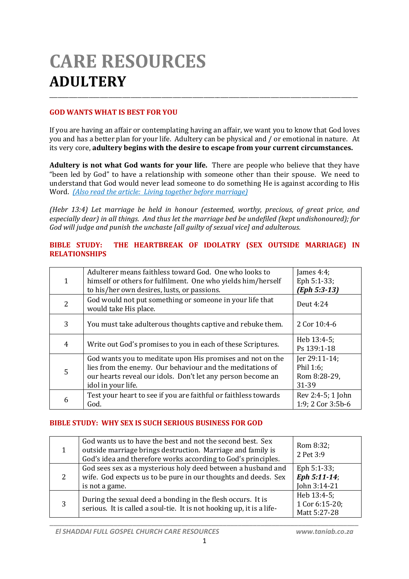# **CARE RESOURCES ADULTERY** \_\_\_\_\_\_\_\_\_\_\_\_\_\_\_\_\_\_\_\_\_\_\_\_\_\_\_\_\_\_\_\_\_\_\_\_\_\_\_\_\_\_\_\_\_\_\_\_\_\_\_\_\_\_\_\_\_\_\_\_\_\_\_\_\_\_\_\_\_\_\_\_\_\_\_\_\_\_\_\_\_\_\_\_\_\_\_\_\_\_\_\_\_\_\_\_\_\_\_\_\_\_\_\_\_\_\_\_\_\_

## **GOD WANTS WHAT IS BEST FOR YOU**

If you are having an affair or contemplating having an affair, we want you to know that God loves you and has a better plan for your life. Adultery can be physical and / or emotional in nature. At its very core, **adultery begins with the desire to escape from your current circumstances.**

**Adultery is not what God wants for your life.** There are people who believe that they have "been led by God" to have a relationship with someone other than their spouse. We need to understand that God would never lead someone to do something He is against according to His Word. *(Also read the article: Living together before marriage)*

*(Hebr 13:4) Let marriage be held in honour (esteemed, worthy, precious, of great price, and especially dear) in all things. And thus let the marriage bed be undefiled (kept undishonoured); for God will judge and punish the unchaste [all guilty of sexual vice] and adulterous.*

#### **BIBLE STUDY: THE HEARTBREAK OF IDOLATRY (SEX OUTSIDE MARRIAGE) IN RELATIONSHIPS**

| 1 | Adulterer means faithless toward God. One who looks to<br>himself or others for fulfilment. One who yields him/herself<br>to his/her own desires, lusts, or passions.                                        | James 4:4;<br>Eph 5:1-33;<br>$(Eph 5:3-13)$         |
|---|--------------------------------------------------------------------------------------------------------------------------------------------------------------------------------------------------------------|-----------------------------------------------------|
| 2 | God would not put something or someone in your life that<br>would take His place.                                                                                                                            | Deut 4:24                                           |
| 3 | You must take adulterous thoughts captive and rebuke them.                                                                                                                                                   | 2 Cor 10:4-6                                        |
| 4 | Write out God's promises to you in each of these Scriptures.                                                                                                                                                 | Heb 13:4-5;<br>Ps 139:1-18                          |
| 5 | God wants you to meditate upon His promises and not on the<br>lies from the enemy. Our behaviour and the meditations of<br>our hearts reveal our idols. Don't let any person become an<br>idol in your life. | Jer 29:11-14;<br>Phil 1:6;<br>Rom 8:28-29,<br>31-39 |
| 6 | Test your heart to see if you are faithful or faithless towards<br>God.                                                                                                                                      | Rev 2:4-5; 1 John<br>1:9; 2 Cor 3:5b-6              |

## **BIBLE STUDY: WHY SEX IS SUCH SERIOUS BUSINESS FOR GOD**

|   | God wants us to have the best and not the second best. Sex<br>outside marriage brings destruction. Marriage and family is<br>God's idea and therefore works according to God's principles. | Rom 8:32;<br>2 Pet 3:9                        |
|---|--------------------------------------------------------------------------------------------------------------------------------------------------------------------------------------------|-----------------------------------------------|
| 2 | God sees sex as a mysterious holy deed between a husband and<br>wife. God expects us to be pure in our thoughts and deeds. Sex<br>is not a game.                                           | Eph 5:1-33;<br>Eph 5:11-14;<br>John 3:14-21   |
| 3 | During the sexual deed a bonding in the flesh occurs. It is<br>serious. It is called a soul-tie. It is not hooking up, it is a life-                                                       | Heb 13:4-5;<br>1 Cor 6:15-20;<br>Matt 5:27-28 |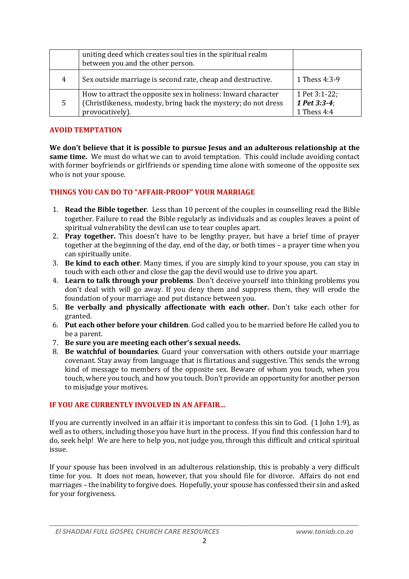|   | uniting deed which creates soul ties in the spiritual realm<br>between you and the other person.                                                   |                                                 |
|---|----------------------------------------------------------------------------------------------------------------------------------------------------|-------------------------------------------------|
| 4 | Sex outside marriage is second rate, cheap and destructive.                                                                                        | 1 Thess 4:3-9                                   |
| 5 | How to attract the opposite sex in holiness: Inward character<br>(Christlikeness, modesty, bring back the mystery; do not dress<br>provocatively). | 1 Pet 3:1-22;<br>1 Pet $3:3-4$ ;<br>1 Thess 4:4 |

#### **AVOID TEMPTATION**

We don't believe that it is possible to pursue Jesus and an adulterous relationship at the **same time.** We must do what we can to avoid temptation. This could include avoiding contact with former boyfriends or girlfriends or spending time alone with someone of the opposite sex who is not your spouse.

#### **THINGS YOU CAN DO TO "AFFAIR-PROOF" YOUR MARRIAGE**

- 1. **Read the Bible together**. Less than 10 percent of the couples in counselling read the Bible together. Failure to read the Bible regularly as individuals and as couples leaves a point of spiritual vulnerability the devil can use to tear couples apart.
- 2. **Pray together.** This doesn't have to be lengthy prayer, but have a brief time of prayer together at the beginning of the day, end of the day, or both times – a prayer time when you can spiritually unite.
- 3. **Be kind to each other**. Many times, if you are simply kind to your spouse, you can stay in touch with each other and close the gap the devil would use to drive you apart.
- 4. **Learn to talk through your problems**. Don't deceive yourself into thinking problems you don't deal with will go away. If you deny them and suppress them, they will erode the foundation of your marriage and put distance between you.
- 5. **Be verbally and physically affectionate with each other.** Don't take each other for granted.
- 6. **Put each other before your children**. God called you to be married before He called you to be a parent.
- 7. **Be sure you are meeting each other's sexual needs.**
- 8. **Be watchful of boundaries**. Guard your conversation with others outside your marriage covenant. Stay away from language that is flirtatious and suggestive. This sends the wrong kind of message to members of the opposite sex. Beware of whom you touch, when you touch, where you touch, and how you touch. Don't provide an opportunity for another person to misjudge your motives.

## **IF YOU ARE CURRENTLY INVOLVED IN AN AFFAIR…**

If you are currently involved in an affair it is important to confess this sin to God. (1 John 1:9), as well as to others, including those you have hurt in the process. If you find this confession hard to do, seek help! We are here to help you, not judge you, through this difficult and critical spiritual issue.

If your spouse has been involved in an adulterous relationship, this is probably a very difficult time for you. It does not mean, however, that you should file for divorce. Affairs do not end marriages – the inability to forgive does. Hopefully, your spouse has confessed their sin and asked for your forgiveness.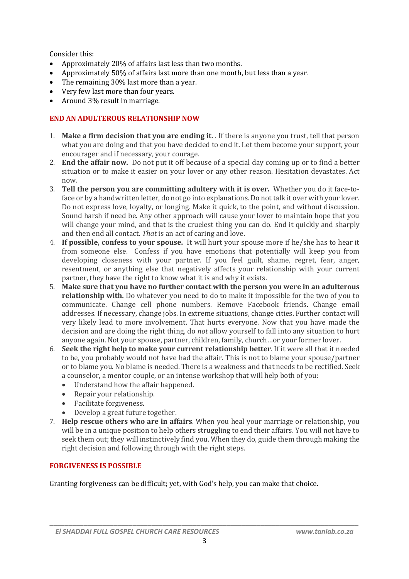Consider this:

- Approximately 20% of affairs last less than two months.
- Approximately 50% of affairs last more than one month, but less than a year.
- The remaining 30% last more than a year.
- Very few last more than four years.
- Around 3% result in marriage.

# **END AN ADULTEROUS RELATIONSHIP NOW**

- 1. **Make a firm decision that you are ending it.** . If there is anyone you trust, tell that person what you are doing and that you have decided to end it. Let them become your support, your encourager and if necessary, your courage.
- 2. **End the affair now.** Do not put it off because of a special day coming up or to find a better situation or to make it easier on your lover or any other reason. Hesitation devastates. Act now.
- 3. **Tell the person you are committing adultery with it is over.** Whether you do it face-toface or by a handwritten letter, do not go into explanations. Do not talk it over with your lover. Do not express love, loyalty, or longing. Make it quick, to the point, and without discussion. Sound harsh if need be. Any other approach will cause your lover to maintain hope that you will change your mind, and that is the cruelest thing you can do. End it quickly and sharply and then end all contact. *That* is an act of caring and love.
- 4. **If possible, confess to your spouse.** It will hurt your spouse more if he/she has to hear it from someone else. Confess if you have emotions that potentially will keep you from developing closeness with your partner. If you feel guilt, shame, regret, fear, anger, resentment, or anything else that negatively affects your relationship with your current partner, they have the right to know what it is and why it exists.
- 5. **Make sure that you have no further contact with the person you were in an adulterous relationship with.** Do whatever you need to do to make it impossible for the two of you to communicate. Change cell phone numbers. Remove Facebook friends. Change email addresses. If necessary, change jobs. In extreme situations, change cities. Further contact will very likely lead to more involvement. That hurts everyone. Now that you have made the decision and are doing the right thing, do *not* allow yourself to fall into any situation to hurt anyone again. Not your spouse, partner, children, family, church…or your former lover.
- 6. **Seek the right help to make your current relationship better**. If it were all that it needed to be, you probably would not have had the affair. This is not to blame your spouse/partner or to blame you. No blame is needed. There is a weakness and that needs to be rectified. Seek a counselor, a mentor couple, or an intense workshop that will help both of you:
	- Understand how the affair happened.
	- Repair your relationship.
	- Facilitate forgiveness.
	- Develop a great future together.
- 7. **Help rescue others who are in affairs**. When you heal your marriage or relationship, you will be in a unique position to help others struggling to end their affairs. You will not have to seek them out; they will instinctively find you. When they do, guide them through making the right decision and following through with the right steps.

## **FORGIVENESS IS POSSIBLE**

Granting forgiveness can be difficult; yet, with God's help, you can make that choice.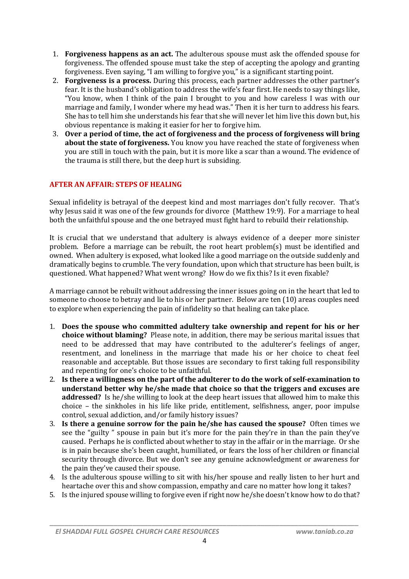- 1. **Forgiveness happens as an act.** The adulterous spouse must ask the offended spouse for forgiveness. The offended spouse must take the step of accepting the apology and granting forgiveness. Even saying, "I am willing to forgive you," is a significant starting point.
- 2. **Forgiveness is a process.** During this process, each partner addresses the other partner's fear. It is the husband's obligation to address the wife's fear first. He needs to say things like, "You know, when I think of the pain I brought to you and how careless I was with our marriage and family, I wonder where my head was." Then it is her turn to address his fears. She has to tell him she understands his fear that she will never let him live this down but, his obvious repentance is making it easier for her to forgive him.
- 3. **Over a period of time, the act of forgiveness and the process of forgiveness will bring about the state of forgiveness.** You know you have reached the state of forgiveness when you are still in touch with the pain, but it is more like a scar than a wound. The evidence of the trauma is still there, but the deep hurt is subsiding.

## **AFTER AN AFFAIR: STEPS OF HEALING**

Sexual infidelity is betrayal of the deepest kind and most marriages don't fully recover. That's why Jesus said it was one of the few grounds for divorce (Matthew 19:9). For a marriage to heal both the unfaithful spouse and the one betrayed must fight hard to rebuild their relationship.

It is crucial that we understand that adultery is always evidence of a deeper more sinister problem. Before a marriage can be rebuilt, the root heart problem(s) must be identified and owned. When adultery is exposed, what looked like a good marriage on the outside suddenly and dramatically begins to crumble. The very foundation, upon which that structure has been built, is questioned. What happened? What went wrong? How do we fix this? Is it even fixable?

A marriage cannot be rebuilt without addressing the inner issues going on in the heart that led to someone to choose to betray and lie to his or her partner. Below are ten (10) areas couples need to explore when experiencing the pain of infidelity so that healing can take place.

- 1. **Does the spouse who committed adultery take ownership and repent for his or her choice without blaming?** Please note, in addition, there may be serious marital issues that need to be addressed that may have contributed to the adulterer's feelings of anger, resentment, and loneliness in the marriage that made his or her choice to cheat feel reasonable and acceptable. But those issues are secondary to first taking full responsibility and repenting for one's choice to be unfaithful.
- 2. **Is there a willingness on the part of the adulterer to do the work of self-examination to understand better why he/she made that choice so that the triggers and excuses are addressed?** Is he/she willing to look at the deep heart issues that allowed him to make this choice – the sinkholes in his life like pride, entitlement, selfishness, anger, poor impulse control, sexual addiction, and/or family history issues?
- 3. **Is there a genuine sorrow for the pain he/she has caused the spouse?** Often times we see the "guilty " spouse in pain but it's more for the pain they're in than the pain they've caused. Perhaps he is conflicted about whether to stay in the affair or in the marriage. Or she is in pain because she's been caught, humiliated, or fears the loss of her children or financial security through divorce. But we don't see any genuine acknowledgment or awareness for the pain they've caused their spouse.
- 4. Is the adulterous spouse willing to sit with his/her spouse and really listen to her hurt and heartache over this and show compassion, empathy and care no matter how long it takes?
- 5. Is the injured spouse willing to forgive even if right now he/she doesn't know how to do that?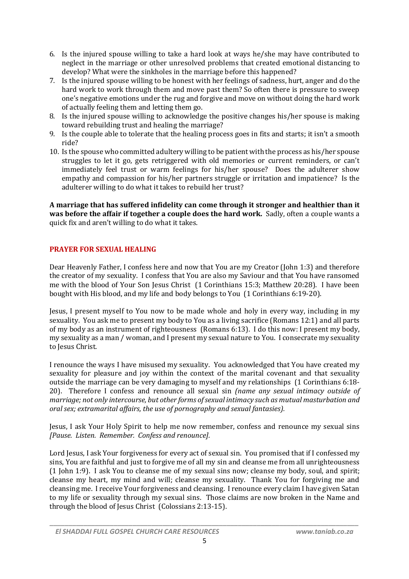- 6. Is the injured spouse willing to take a hard look at ways he/she may have contributed to neglect in the marriage or other unresolved problems that created emotional distancing to develop? What were the sinkholes in the marriage before this happened?
- 7. Is the injured spouse willing to be honest with her feelings of sadness, hurt, anger and do the hard work to work through them and move past them? So often there is pressure to sweep one's negative emotions under the rug and forgive and move on without doing the hard work of actually feeling them and letting them go.
- 8. Is the injured spouse willing to acknowledge the positive changes his/her spouse is making toward rebuilding trust and healing the marriage?
- 9. Is the couple able to tolerate that the healing process goes in fits and starts; it isn't a smooth ride?
- 10. Is the spouse who committed adultery willing to be patient with the process as his/her spouse struggles to let it go, gets retriggered with old memories or current reminders, or can't immediately feel trust or warm feelings for his/her spouse? Does the adulterer show empathy and compassion for his/her partners struggle or irritation and impatience? Is the adulterer willing to do what it takes to rebuild her trust?

**A marriage that has suffered infidelity can come through it stronger and healthier than it was before the affair if together a couple does the hard work.** Sadly, often a couple wants a quick fix and aren't willing to do what it takes.

## **PRAYER FOR SEXUAL HEALING**

Dear Heavenly Father, I confess here and now that You are my Creator (John 1:3) and therefore the creator of my sexuality. I confess that You are also my Saviour and that You have ransomed me with the blood of Your Son Jesus Christ (1 Corinthians 15:3; Matthew 20:28). I have been bought with His blood, and my life and body belongs to You (1 Corinthians 6:19-20).

Jesus, I present myself to You now to be made whole and holy in every way, including in my sexuality. You ask me to present my body to You as a living sacrifice (Romans 12:1) and all parts of my body as an instrument of righteousness (Romans 6:13). I do this now: I present my body, my sexuality as a man / woman, and I present my sexual nature to You. I consecrate my sexuality to Jesus Christ.

I renounce the ways I have misused my sexuality. You acknowledged that You have created my sexuality for pleasure and joy within the context of the marital covenant and that sexuality outside the marriage can be very damaging to myself and my relationships (1 Corinthians 6:18- 20). Therefore I confess and renounce all sexual sin *(name any sexual intimacy outside of marriage; not only intercourse, but other forms ofsexual intimacy such as mutual masturbation and oral sex; extramarital affairs, the use of pornography and sexual fantasies).*

Jesus, I ask Your Holy Spirit to help me now remember, confess and renounce my sexual sins *[Pause. Listen. Remember. Confess and renounce].*

Lord Jesus, I ask Your forgiveness for every act of sexual sin. You promised that if I confessed my sins, You are faithful and just to forgive me of all my sin and cleanse me from all unrighteousness (1 John 1:9). I ask You to cleanse me of my sexual sins now; cleanse my body, soul, and spirit; cleanse my heart, my mind and will; cleanse my sexuality. Thank You for forgiving me and cleansing me. I receive Your forgiveness and cleansing. I renounce every claim I have given Satan to my life or sexuality through my sexual sins. Those claims are now broken in the Name and through the blood of Jesus Christ (Colossians 2:13-15).